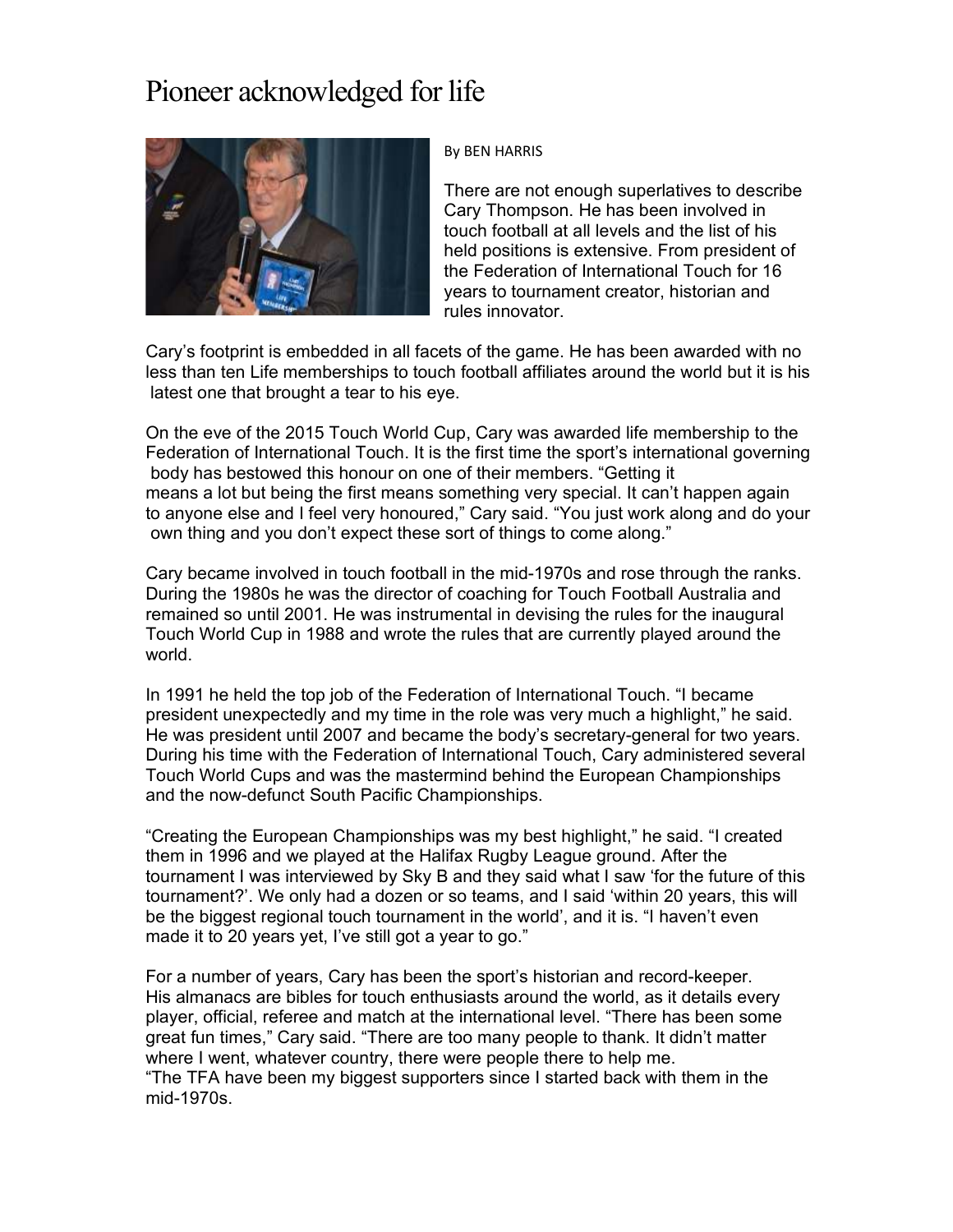## Pioneer acknowledged for life



## By BEN HARRIS

There are not enough superlatives to describe Cary Thompson. He has been involved in touch football at all levels and the list of his held positions is extensive. From president of the Federation of International Touch for 16 years to tournament creator, historian and rules innovator.

Cary's footprint is embedded in all facets of the game. He has been awarded with no less than ten Life memberships to touch football affiliates around the world but it is his latest one that brought a tear to his eye.

On the eve of the 2015 Touch World Cup, Cary was awarded life membership to the Federation of International Touch. It is the first time the sport's international governing body has bestowed this honour on one of their members. "Getting it means a lot but being the first means something very special. It can't happen again to anyone else and I feel very honoured," Cary said. "You just work along and do your own thing and you don't expect these sort of things to come along."

Cary became involved in touch football in the mid-1970s and rose through the ranks. During the 1980s he was the director of coaching for Touch Football Australia and remained so until 2001. He was instrumental in devising the rules for the inaugural Touch World Cup in 1988 and wrote the rules that are currently played around the world.

In 1991 he held the top job of the Federation of International Touch. "I became president unexpectedly and my time in the role was very much a highlight," he said. He was president until 2007 and became the body's secretary-general for two years. During his time with the Federation of International Touch, Cary administered several Touch World Cups and was the mastermind behind the European Championships and the now-defunct South Pacific Championships.

"Creating the European Championships was my best highlight," he said. "I created them in 1996 and we played at the Halifax Rugby League ground. After the tournament I was interviewed by Sky B and they said what I saw 'for the future of this tournament?'. We only had a dozen or so teams, and I said 'within 20 years, this will be the biggest regional touch tournament in the world', and it is. "I haven't even made it to 20 years yet, I've still got a year to go."

For a number of years, Cary has been the sport's historian and record-keeper. His almanacs are bibles for touch enthusiasts around the world, as it details every player, official, referee and match at the international level. "There has been some great fun times," Cary said. "There are too many people to thank. It didn't matter where I went, whatever country, there were people there to help me. "The TFA have been my biggest supporters since I started back with them in the mid-1970s.